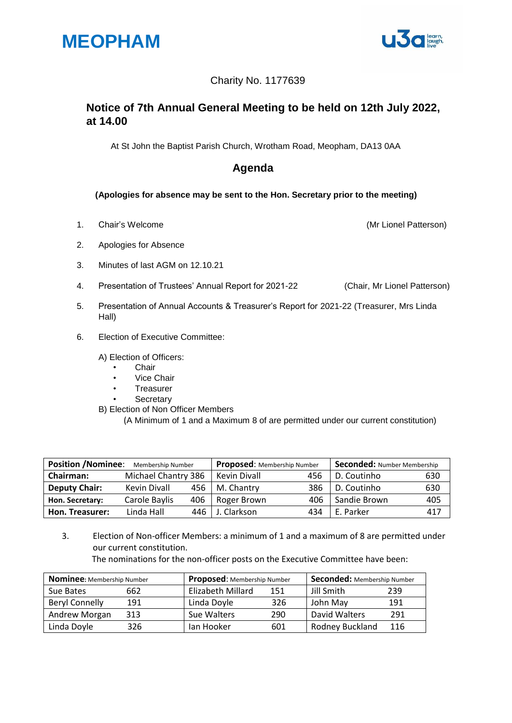



### Charity No. 1177639

## **Notice of 7th Annual General Meeting to be held on 12th July 2022, at 14.00**

At St John the Baptist Parish Church, Wrotham Road, Meopham, DA13 0AA

## **Agenda**

#### **(Apologies for absence may be sent to the Hon. Secretary prior to the meeting)**

1. Chair's Welcome (Mr Lionel Patterson)

- 2. Apologies for Absence
- 3. Minutes of last AGM on 12.10.21
- 4. Presentation of Trustees' Annual Report for 2021-22 (Chair, Mr Lionel Patterson)
- 5. Presentation of Annual Accounts & Treasurer's Report for 2021-22 (Treasurer, Mrs Linda Hall)
- 6. Election of Executive Committee:

A) Election of Officers:

- Chair
- Vice Chair
- **Treasurer**
- **Secretary**
- B) Election of Non Officer Members
	- (A Minimum of 1 and a Maximum 8 of are permitted under our current constitution)

| <b>Position /Nominee:</b><br>Membership Number |                     |     | Proposed: Membership Number |     | <b>Seconded: Number Membership</b> |     |
|------------------------------------------------|---------------------|-----|-----------------------------|-----|------------------------------------|-----|
| <b>Chairman:</b>                               | Michael Chantry 386 |     | <b>Kevin Divall</b>         | 456 | D. Coutinho                        | 630 |
| <b>Deputy Chair:</b>                           | Kevin Divall        | 456 | M. Chantry                  | 386 | D. Coutinho                        | 630 |
| Hon. Secretary:                                | Carole Baylis       | 406 | Roger Brown                 | 406 | Sandie Brown                       | 405 |
| Hon. Treasurer:                                | Linda Hall          | 446 | J. Clarkson                 | 434 | E. Parker                          | 417 |

3. Election of Non-officer Members: a minimum of 1 and a maximum of 8 are permitted under our current constitution.

The nominations for the non-officer posts on the Executive Committee have been:

| <b>Nominee:</b> Membership Number |     | <b>Proposed:</b> Membership Number |     | Seconded: Membership Number |     |
|-----------------------------------|-----|------------------------------------|-----|-----------------------------|-----|
| Sue Bates                         | 662 | Elizabeth Millard                  | 151 | Jill Smith                  | 239 |
| <b>Beryl Connelly</b>             | 191 | Linda Dovle                        | 326 | John May                    | 191 |
| Andrew Morgan                     | 313 | Sue Walters                        | 290 | David Walters               | 291 |
| Linda Doyle                       | 326 | Jan Hooker                         | 601 | Rodney Buckland             | 116 |